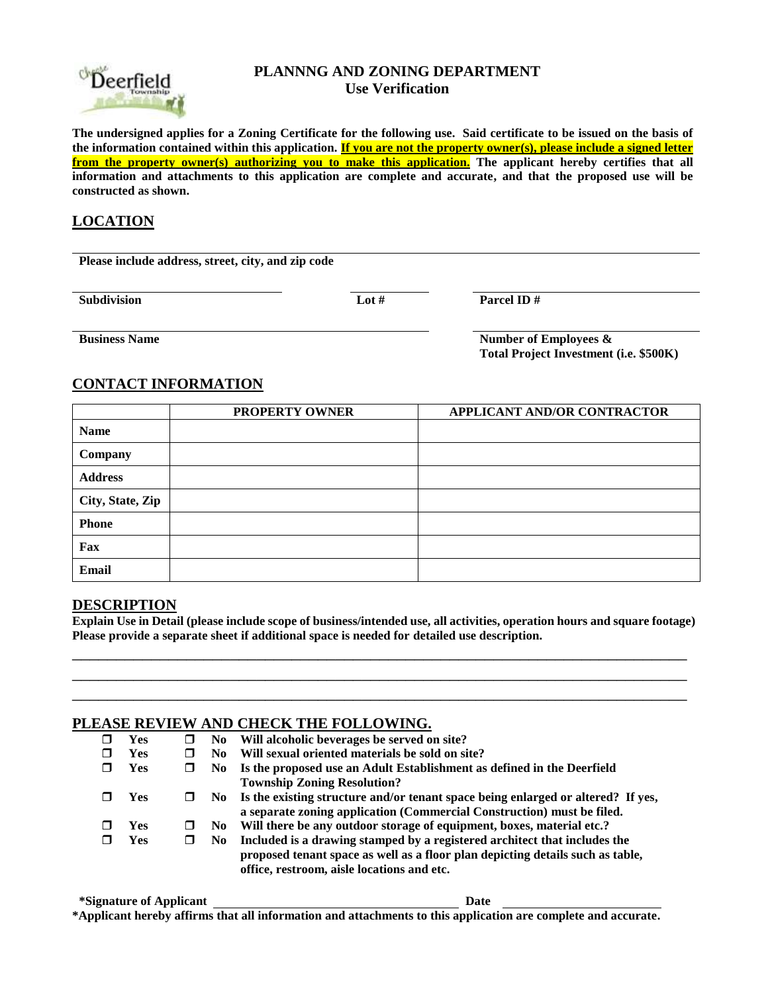

### **PLANNNG AND ZONING DEPARTMENT Use Verification**

**The undersigned applies for a Zoning Certificate for the following use. Said certificate to be issued on the basis of the information contained within this application. If you are not the property owner(s), please include a signed letter from the property owner(s) authorizing you to make this application. The applicant hereby certifies that all information and attachments to this application are complete and accurate, and that the proposed use will be constructed as shown.**

# **LOCATION**

**Please include address, street, city, and zip code**

**Subdivision Lot # Parcel ID #** 

**Business Name Number of Employees & Number of Employees** & **Total Project Investment (i.e. \$500K)**

# **CONTACT INFORMATION**

|                  | <b>PROPERTY OWNER</b> | <b>APPLICANT AND/OR CONTRACTOR</b> |
|------------------|-----------------------|------------------------------------|
| <b>Name</b>      |                       |                                    |
| Company          |                       |                                    |
| <b>Address</b>   |                       |                                    |
| City, State, Zip |                       |                                    |
| <b>Phone</b>     |                       |                                    |
| Fax              |                       |                                    |
| <b>Email</b>     |                       |                                    |

#### **DESCRIPTION**

**Explain Use in Detail (please include scope of business/intended use, all activities, operation hours and square footage) Please provide a separate sheet if additional space is needed for detailed use description.**

\_\_\_\_\_\_\_\_\_\_\_\_\_\_\_\_\_\_\_\_\_\_\_\_\_\_\_\_\_\_\_\_\_\_\_\_\_\_\_\_\_\_\_\_\_\_\_\_\_\_\_\_\_\_\_\_\_\_\_\_\_\_\_\_\_\_\_\_\_\_ \_\_\_\_\_\_\_\_\_\_\_\_\_\_\_\_\_\_\_\_\_\_\_\_\_\_\_\_\_\_\_\_\_\_\_\_\_\_\_\_\_\_\_\_\_\_\_\_\_\_\_\_\_\_\_\_\_\_\_\_\_\_\_\_\_\_\_\_\_\_ \_\_\_\_\_\_\_\_\_\_\_\_\_\_\_\_\_\_\_\_\_\_\_\_\_\_\_\_\_\_\_\_\_\_\_\_\_\_\_\_\_\_\_\_\_\_\_\_\_\_\_\_\_\_\_\_\_\_\_\_\_\_\_\_\_\_\_\_\_\_

### **PLEASE REVIEW AND CHECK THE FOLLOWING.**

|            |   |      | <u>Caas Caa Aaas a Cabs Chann</u>                                                   |
|------------|---|------|-------------------------------------------------------------------------------------|
| Yes        | ш | No.  | Will alcoholic beverages be served on site?                                         |
| <b>Yes</b> |   | No.  | Will sexual oriented materials be sold on site?                                     |
| <b>Yes</b> |   |      | No Is the proposed use an Adult Establishment as defined in the Deerfield           |
|            |   |      | <b>Township Zoning Resolution?</b>                                                  |
| <b>Yes</b> |   |      | No Is the existing structure and/or tenant space being enlarged or altered? If yes, |
|            |   |      | a separate zoning application (Commercial Construction) must be filed.              |
| Yes        | ш | No.  | Will there be any outdoor storage of equipment, boxes, material etc.?               |
| <b>Yes</b> | П | No - | Included is a drawing stamped by a registered architect that includes the           |
|            |   |      | proposed tenant space as well as a floor plan depicting details such as table,      |
|            |   |      | office, restroom, aisle locations and etc.                                          |

**\*Signature of Applicant Date \*Applicant hereby affirms that all information and attachments to this application are complete and accurate.**